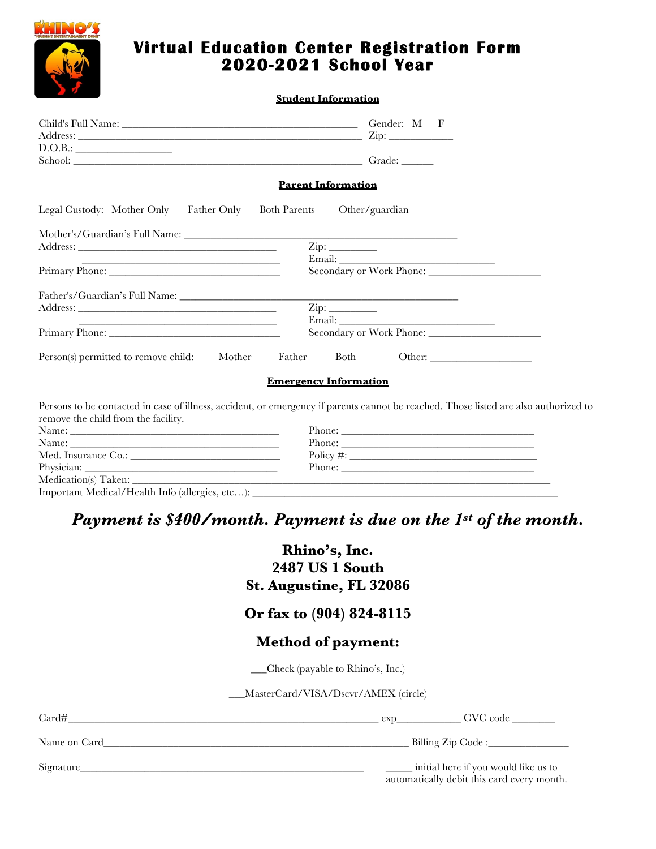

## **Virtual Education Center Registration Form 2020-2021 School Year**

#### **Student Information**

| D.O.B.:                                                                                                                                                                                                                        |                                                                                                                                      |
|--------------------------------------------------------------------------------------------------------------------------------------------------------------------------------------------------------------------------------|--------------------------------------------------------------------------------------------------------------------------------------|
| School: Charles Contains a Containing Contains a Contact Contains a Contact Contains a Contact Contact Contact Contact Contact Contact Contact Contact Contact Contact Contact Contact Contact Contact Contact Contact Contact |                                                                                                                                      |
|                                                                                                                                                                                                                                | <b>Parent Information</b>                                                                                                            |
| Legal Custody: Mother Only<br>Father Only                                                                                                                                                                                      | <b>Both Parents</b><br>Other/guardian                                                                                                |
|                                                                                                                                                                                                                                | <u> 1989 - Johann Barbara, margaret eta idazlea (h. 1989).</u>                                                                       |
|                                                                                                                                                                                                                                |                                                                                                                                      |
|                                                                                                                                                                                                                                |                                                                                                                                      |
|                                                                                                                                                                                                                                |                                                                                                                                      |
|                                                                                                                                                                                                                                |                                                                                                                                      |
|                                                                                                                                                                                                                                | $\mathsf{Zip:}\_$                                                                                                                    |
|                                                                                                                                                                                                                                |                                                                                                                                      |
|                                                                                                                                                                                                                                |                                                                                                                                      |
| Person(s) permitted to remove child: Mother                                                                                                                                                                                    | Father Both<br>Other:                                                                                                                |
|                                                                                                                                                                                                                                | <b>Emergency Information</b>                                                                                                         |
| remove the child from the facility.                                                                                                                                                                                            | Persons to be contacted in case of illness, accident, or emergency if parents cannot be reached. Those listed are also authorized to |
|                                                                                                                                                                                                                                | Phone:                                                                                                                               |
|                                                                                                                                                                                                                                |                                                                                                                                      |
|                                                                                                                                                                                                                                | $Policy \#: ____________$                                                                                                            |
|                                                                                                                                                                                                                                | Phone:                                                                                                                               |
|                                                                                                                                                                                                                                |                                                                                                                                      |
| Important Medical/Health Info (allergies, etc):                                                                                                                                                                                |                                                                                                                                      |

# *Payment is \$400/month. Payment is due on the 1st of the month.*

## **Rhino's, Inc. 2487 US 1 South St. Augustine, FL 32086**

### **Or fax to (904) 824-8115**

#### **Method of payment:**

\_\_\_Check (payable to Rhino's, Inc.)

\_\_\_MasterCard/VISA/Dscvr/AMEX (circle)

| Card#        | $\exp$                                                                             |  |
|--------------|------------------------------------------------------------------------------------|--|
| Name on Card | Billing Zip Code :                                                                 |  |
| Signature    | initial here if you would like us to<br>automatically debit this card every month. |  |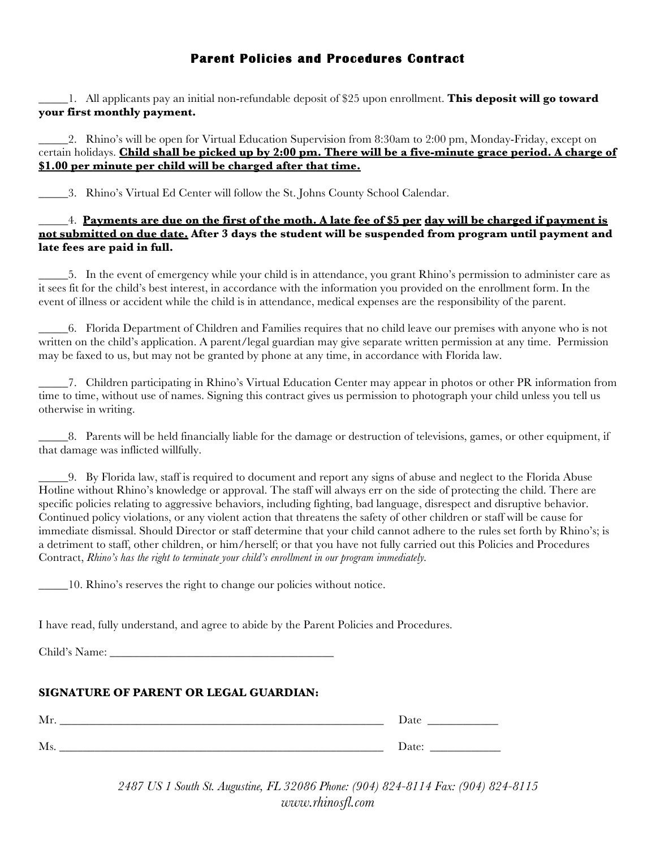#### **Parent Policies and Procedures Contract**

\_\_\_\_\_1. All applicants pay an initial non-refundable deposit of \$25 upon enrollment. **This deposit will go toward your first monthly payment.**

\_\_\_\_\_2. Rhino's will be open for Virtual Education Supervision from 8:30am to 2:00 pm, Monday-Friday, except on certain holidays. **Child shall be picked up by 2:00 pm. There will be a five-minute grace period. A charge of \$1.00 per minute per child will be charged after that time.**

\_\_\_\_\_3. Rhino's Virtual Ed Center will follow the St. Johns County School Calendar.

\_\_\_\_\_4. **Payments are due on the first of the moth. A late fee of \$5 per day will be charged if payment is not submitted on due date. After 3 days the student will be suspended from program until payment and late fees are paid in full.** 

\_\_\_\_\_5. In the event of emergency while your child is in attendance, you grant Rhino's permission to administer care as it sees fit for the child's best interest, in accordance with the information you provided on the enrollment form. In the event of illness or accident while the child is in attendance, medical expenses are the responsibility of the parent.

\_\_\_\_\_6. Florida Department of Children and Families requires that no child leave our premises with anyone who is not written on the child's application. A parent/legal guardian may give separate written permission at any time. Permission may be faxed to us, but may not be granted by phone at any time, in accordance with Florida law.

\_\_\_\_\_7. Children participating in Rhino's Virtual Education Center may appear in photos or other PR information from time to time, without use of names. Signing this contract gives us permission to photograph your child unless you tell us otherwise in writing.

\_\_\_\_\_8. Parents will be held financially liable for the damage or destruction of televisions, games, or other equipment, if that damage was inflicted willfully.

\_\_\_\_\_9. By Florida law, staff is required to document and report any signs of abuse and neglect to the Florida Abuse Hotline without Rhino's knowledge or approval. The staff will always err on the side of protecting the child. There are specific policies relating to aggressive behaviors, including fighting, bad language, disrespect and disruptive behavior. Continued policy violations, or any violent action that threatens the safety of other children or staff will be cause for immediate dismissal. Should Director or staff determine that your child cannot adhere to the rules set forth by Rhino's; is a detriment to staff, other children, or him/herself; or that you have not fully carried out this Policies and Procedures Contract, *Rhino's has the right to terminate your child's enrollment in our program immediately.*

\_\_\_\_\_10. Rhino's reserves the right to change our policies without notice.

I have read, fully understand, and agree to abide by the Parent Policies and Procedures.

Child's Name:

#### **SIGNATURE OF PARENT OR LEGAL GUARDIAN:**

| Mr                     | Date                                                |
|------------------------|-----------------------------------------------------|
| $\mathbf{A}$<br>-IVI S | $\mathbf{D}_{\alpha\uparrow\alpha\uparrow}$<br>Dau, |

*2487 US 1 South St. Augustine, FL 32086 Phone: (904) 824-8114 Fax: (904) 824-8115 www.rhinosfl.com*